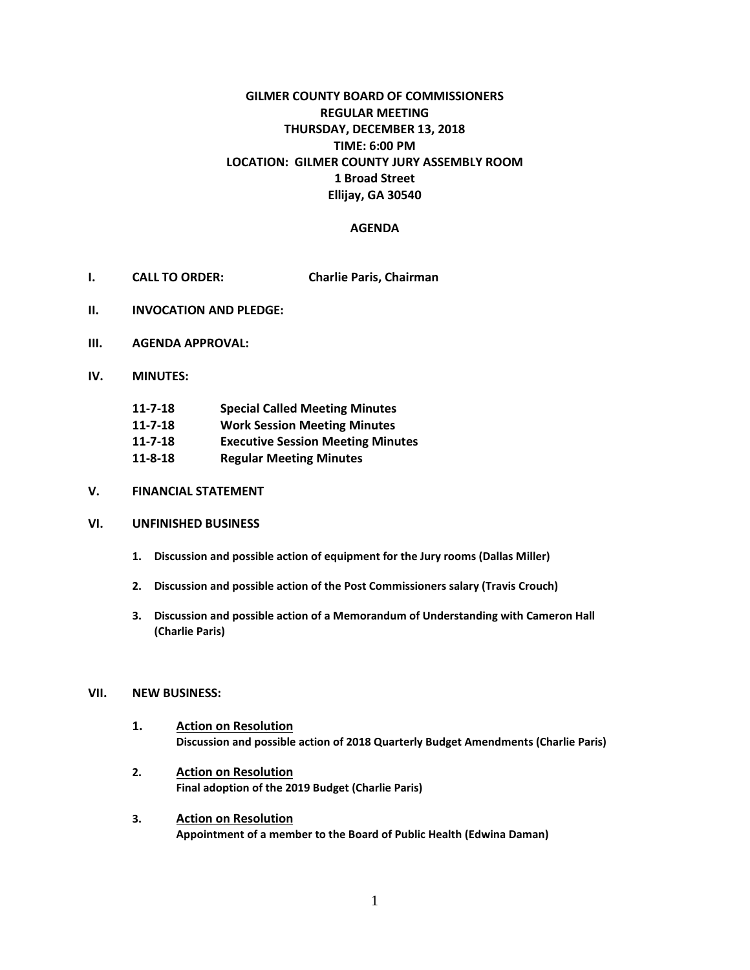# **GILMER COUNTY BOARD OF COMMISSIONERS REGULAR MEETING THURSDAY, DECEMBER 13, 2018 TIME: 6:00 PM LOCATION: GILMER COUNTY JURY ASSEMBLY ROOM 1 Broad Street Ellijay, GA 30540**

### **AGENDA**

- **I. CALL TO ORDER: Charlie Paris, Chairman**
- **II. INVOCATION AND PLEDGE:**
- **III. AGENDA APPROVAL:**
- **IV. MINUTES:**

| $11 - 7 - 18$ | <b>Special Called Meeting Minutes</b>    |
|---------------|------------------------------------------|
| $11 - 7 - 18$ | <b>Work Session Meeting Minutes</b>      |
| $11 - 7 - 18$ | <b>Executive Session Meeting Minutes</b> |
| $11 - 8 - 18$ | <b>Regular Meeting Minutes</b>           |

**V. FINANCIAL STATEMENT**

#### **VI. UNFINISHED BUSINESS**

- **1. Discussion and possible action of equipment for the Jury rooms (Dallas Miller)**
- **2. Discussion and possible action of the Post Commissioners salary (Travis Crouch)**
- **3. Discussion and possible action of a Memorandum of Understanding with Cameron Hall (Charlie Paris)**

#### **VII. NEW BUSINESS:**

- **1. Action on Resolution Discussion and possible action of 2018 Quarterly Budget Amendments (Charlie Paris)**
- **2. Action on Resolution Final adoption of the 2019 Budget (Charlie Paris)**
- **3. Action on Resolution Appointment of a member to the Board of Public Health (Edwina Daman)**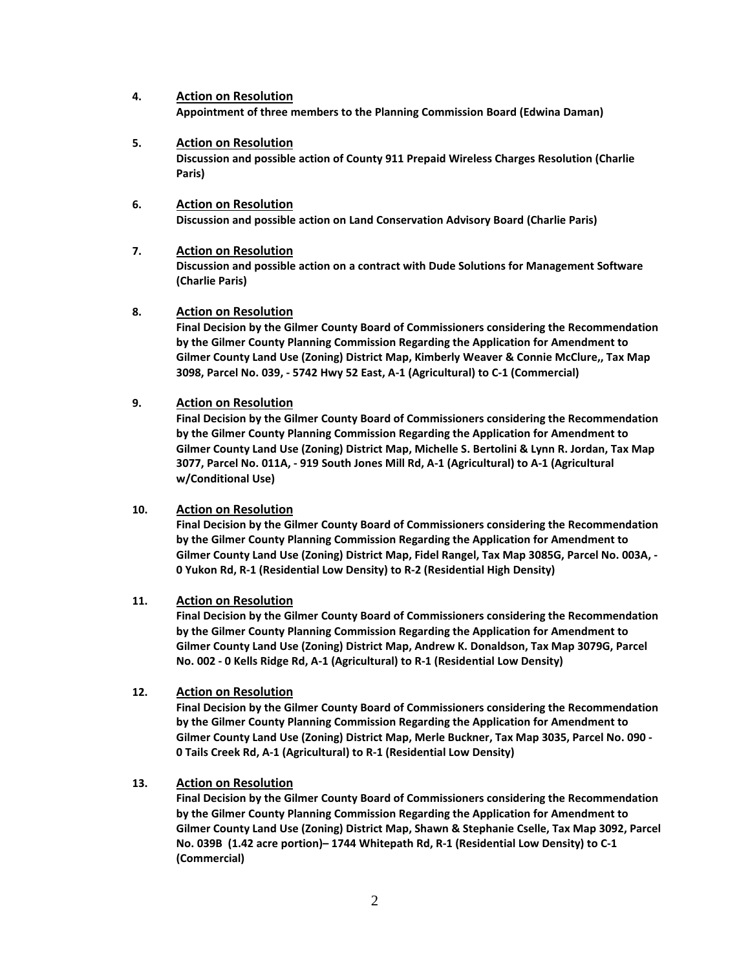#### **4. Action on Resolution**

**Appointment of three members to the Planning Commission Board (Edwina Daman)**

- **5. Action on Resolution Discussion and possible action of County 911 Prepaid Wireless Charges Resolution (Charlie Paris)**
- **6. Action on Resolution Discussion and possible action on Land Conservation Advisory Board (Charlie Paris)**

### **7. Action on Resolution**

**Discussion and possible action on a contract with Dude Solutions for Management Software (Charlie Paris)**

#### **8. Action on Resolution**

**Final Decision by the Gilmer County Board of Commissioners considering the Recommendation by the Gilmer County Planning Commission Regarding the Application for Amendment to Gilmer County Land Use (Zoning) District Map, Kimberly Weaver & Connie McClure,, Tax Map 3098, Parcel No. 039, - 5742 Hwy 52 East, A-1 (Agricultural) to C-1 (Commercial)**

#### **9. Action on Resolution**

**Final Decision by the Gilmer County Board of Commissioners considering the Recommendation by the Gilmer County Planning Commission Regarding the Application for Amendment to Gilmer County Land Use (Zoning) District Map, Michelle S. Bertolini & Lynn R. Jordan, Tax Map 3077, Parcel No. 011A, - 919 South Jones Mill Rd, A-1 (Agricultural) to A-1 (Agricultural w/Conditional Use)**

#### **10. Action on Resolution**

**Final Decision by the Gilmer County Board of Commissioners considering the Recommendation by the Gilmer County Planning Commission Regarding the Application for Amendment to Gilmer County Land Use (Zoning) District Map, Fidel Rangel, Tax Map 3085G, Parcel No. 003A, - 0 Yukon Rd, R-1 (Residential Low Density) to R-2 (Residential High Density)**

#### **11. Action on Resolution**

**Final Decision by the Gilmer County Board of Commissioners considering the Recommendation by the Gilmer County Planning Commission Regarding the Application for Amendment to Gilmer County Land Use (Zoning) District Map, Andrew K. Donaldson, Tax Map 3079G, Parcel No. 002 - 0 Kells Ridge Rd, A-1 (Agricultural) to R-1 (Residential Low Density)**

#### **12. Action on Resolution**

**Final Decision by the Gilmer County Board of Commissioners considering the Recommendation by the Gilmer County Planning Commission Regarding the Application for Amendment to Gilmer County Land Use (Zoning) District Map, Merle Buckner, Tax Map 3035, Parcel No. 090 - 0 Tails Creek Rd, A-1 (Agricultural) to R-1 (Residential Low Density)**

#### **13. Action on Resolution**

**Final Decision by the Gilmer County Board of Commissioners considering the Recommendation by the Gilmer County Planning Commission Regarding the Application for Amendment to Gilmer County Land Use (Zoning) District Map, Shawn & Stephanie Cselle, Tax Map 3092, Parcel No. 039B (1.42 acre portion)– 1744 Whitepath Rd, R-1 (Residential Low Density) to C-1 (Commercial)**